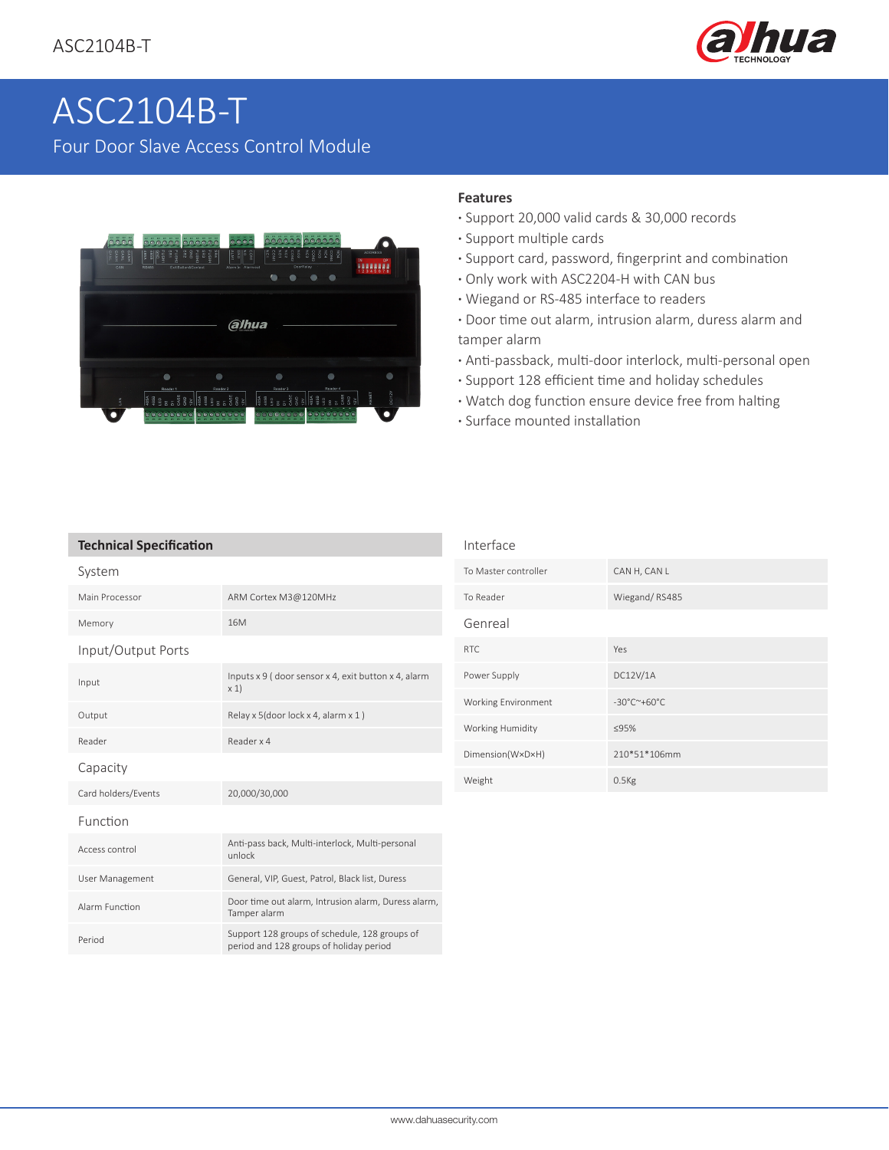

# [ASC2104B-T](https://www.ultramaster.ro/control-acces-pontaj.html)  Four Door Slave Access Control Module



### **Features**

Interface

- **·** Support 20,000 valid cards & 30,000 records
- **·** Support multiple cards
- **·** Support card, password, fingerprint and combination
- **·** Only work with ASC2204-H with CAN bus
- **·** Wiegand or RS-485 interface to readers
- **·** Door time out alarm, intrusion alarm, duress alarm and tamper alarm
- **·** Anti-passback, multi-door interlock, multi-personal open
- **·** Support 128 efficient time and holiday schedules
- **·** Watch dog function ensure device free from halting
- **·** Surface mounted installation

| <b>Technical Specification</b> |  |
|--------------------------------|--|
|--------------------------------|--|

| System              |                                                                                          |
|---------------------|------------------------------------------------------------------------------------------|
| Main Processor      | ARM Cortex M3@120MHz                                                                     |
| Memory              | 16 <sub>M</sub>                                                                          |
| Input/Output Ports  |                                                                                          |
| Input               | Inputs x 9 (door sensor x 4, exit button x 4, alarm<br>x 1)                              |
| Output              | Relay x 5(door lock x 4, alarm x 1)                                                      |
| Reader              | Reader x 4                                                                               |
| Capacity            |                                                                                          |
| Card holders/Events | 20,000/30,000                                                                            |
| Function            |                                                                                          |
| Access control      | Anti-pass back, Multi-interlock, Multi-personal<br>unlock                                |
| User Management     | General, VIP, Guest, Patrol, Black list, Duress                                          |
| Alarm Function      | Door time out alarm, Intrusion alarm, Duress alarm,<br>Tamper alarm                      |
| Period              | Support 128 groups of schedule, 128 groups of<br>period and 128 groups of holiday period |

| To Master controller | CAN H, CAN L                               |
|----------------------|--------------------------------------------|
| To Reader            | Wiegand/RS485                              |
| Genreal              |                                            |
| RTC.                 | Yes                                        |
| Power Supply         | DC12V/1A                                   |
| Working Environment  | $-30^{\circ}$ C $^{\sim}$ +60 $^{\circ}$ C |
| Working Humidity     | ≤95%                                       |
| Dimension(W×D×H)     | 210*51*106mm                               |
| Weight               | $0.5$ Kg                                   |